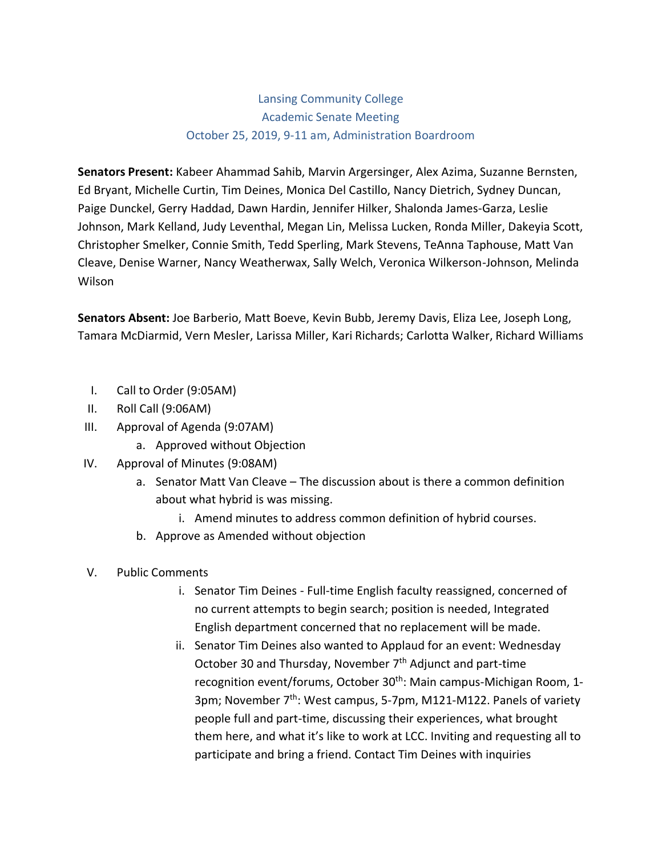# Lansing Community College Academic Senate Meeting October 25, 2019, 9-11 am, Administration Boardroom

**Senators Present:** Kabeer Ahammad Sahib, Marvin Argersinger, Alex Azima, Suzanne Bernsten, Ed Bryant, Michelle Curtin, Tim Deines, Monica Del Castillo, Nancy Dietrich, Sydney Duncan, Paige Dunckel, Gerry Haddad, Dawn Hardin, Jennifer Hilker, Shalonda James-Garza, Leslie Johnson, Mark Kelland, Judy Leventhal, Megan Lin, Melissa Lucken, Ronda Miller, Dakeyia Scott, Christopher Smelker, Connie Smith, Tedd Sperling, Mark Stevens, TeAnna Taphouse, Matt Van Cleave, Denise Warner, Nancy Weatherwax, Sally Welch, Veronica Wilkerson-Johnson, Melinda Wilson

**Senators Absent:** Joe Barberio, Matt Boeve, Kevin Bubb, Jeremy Davis, Eliza Lee, Joseph Long, Tamara McDiarmid, Vern Mesler, Larissa Miller, Kari Richards; Carlotta Walker, Richard Williams

- I. Call to Order (9:05AM)
- II. Roll Call (9:06AM)
- III. Approval of Agenda (9:07AM)
	- a. Approved without Objection
- IV. Approval of Minutes (9:08AM)
	- a. Senator Matt Van Cleave The discussion about is there a common definition about what hybrid is was missing.
		- i. Amend minutes to address common definition of hybrid courses.
	- b. Approve as Amended without objection
- V. Public Comments
	- i. Senator Tim Deines Full-time English faculty reassigned, concerned of no current attempts to begin search; position is needed, Integrated English department concerned that no replacement will be made.
	- ii. Senator Tim Deines also wanted to Applaud for an event: Wednesday October 30 and Thursday, November  $7<sup>th</sup>$  Adjunct and part-time recognition event/forums, October 30<sup>th</sup>: Main campus-Michigan Room, 1-3pm; November 7<sup>th</sup>: West campus, 5-7pm, M121-M122. Panels of variety people full and part-time, discussing their experiences, what brought them here, and what it's like to work at LCC. Inviting and requesting all to participate and bring a friend. Contact Tim Deines with inquiries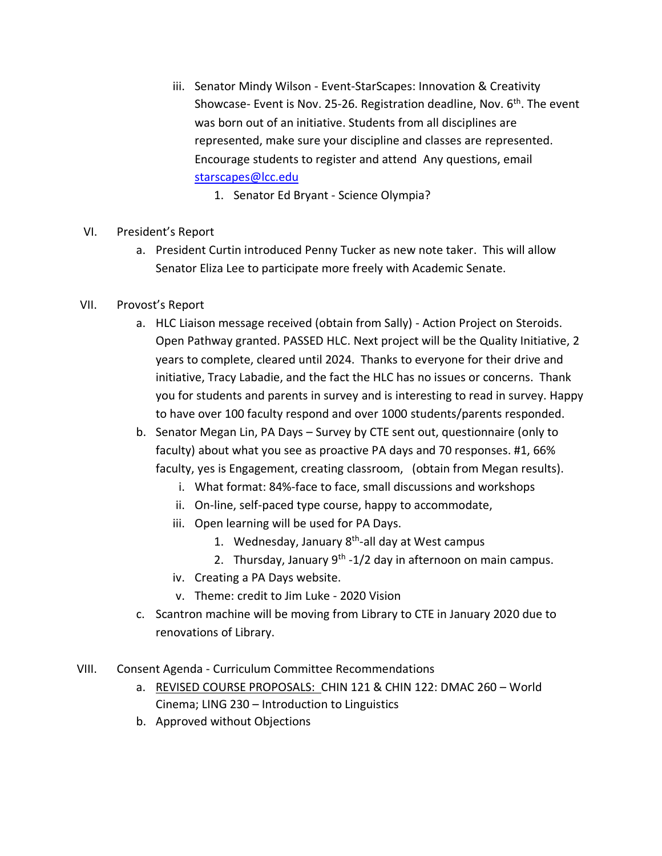- iii. Senator Mindy Wilson Event-StarScapes: Innovation & Creativity Showcase- Event is Nov. 25-26. Registration deadline, Nov. 6<sup>th</sup>. The event was born out of an initiative. Students from all disciplines are represented, make sure your discipline and classes are represented. Encourage students to register and attend Any questions, email [starscapes@lcc.edu](mailto:starscapes@lcc.edu)
	- 1. Senator Ed Bryant Science Olympia?
- VI. President's Report
	- a. President Curtin introduced Penny Tucker as new note taker. This will allow Senator Eliza Lee to participate more freely with Academic Senate.
- VII. Provost's Report
	- a. HLC Liaison message received (obtain from Sally) Action Project on Steroids. Open Pathway granted. PASSED HLC. Next project will be the Quality Initiative, 2 years to complete, cleared until 2024. Thanks to everyone for their drive and initiative, Tracy Labadie, and the fact the HLC has no issues or concerns. Thank you for students and parents in survey and is interesting to read in survey. Happy to have over 100 faculty respond and over 1000 students/parents responded.
	- b. Senator Megan Lin, PA Days Survey by CTE sent out, questionnaire (only to faculty) about what you see as proactive PA days and 70 responses. #1, 66% faculty, yes is Engagement, creating classroom, (obtain from Megan results).
		- i. What format: 84%-face to face, small discussions and workshops
		- ii. On-line, self-paced type course, happy to accommodate,
		- iii. Open learning will be used for PA Days.
			- 1. Wednesday, January 8<sup>th</sup>-all day at West campus
			- 2. Thursday, January 9<sup>th</sup> -1/2 day in afternoon on main campus.
		- iv. Creating a PA Days website.
		- v. Theme: credit to Jim Luke 2020 Vision
	- c. Scantron machine will be moving from Library to CTE in January 2020 due to renovations of Library.
- VIII. Consent Agenda Curriculum Committee Recommendations
	- a. REVISED COURSE PROPOSALS: CHIN 121 & CHIN 122: DMAC 260 World Cinema; LING 230 – Introduction to Linguistics
	- b. Approved without Objections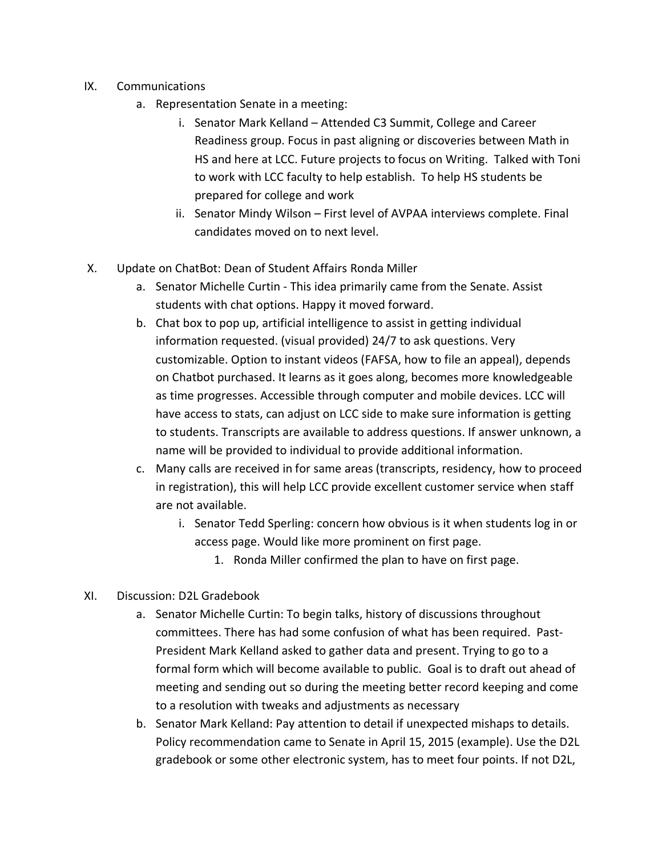- IX. Communications
	- a. Representation Senate in a meeting:
		- i. Senator Mark Kelland Attended C3 Summit, College and Career Readiness group. Focus in past aligning or discoveries between Math in HS and here at LCC. Future projects to focus on Writing. Talked with Toni to work with LCC faculty to help establish. To help HS students be prepared for college and work
		- ii. Senator Mindy Wilson First level of AVPAA interviews complete. Final candidates moved on to next level.
- X. Update on ChatBot: Dean of Student Affairs Ronda Miller
	- a. Senator Michelle Curtin This idea primarily came from the Senate. Assist students with chat options. Happy it moved forward.
	- b. Chat box to pop up, artificial intelligence to assist in getting individual information requested. (visual provided) 24/7 to ask questions. Very customizable. Option to instant videos (FAFSA, how to file an appeal), depends on Chatbot purchased. It learns as it goes along, becomes more knowledgeable as time progresses. Accessible through computer and mobile devices. LCC will have access to stats, can adjust on LCC side to make sure information is getting to students. Transcripts are available to address questions. If answer unknown, a name will be provided to individual to provide additional information.
	- c. Many calls are received in for same areas (transcripts, residency, how to proceed in registration), this will help LCC provide excellent customer service when staff are not available.
		- i. Senator Tedd Sperling: concern how obvious is it when students log in or access page. Would like more prominent on first page.
			- 1. Ronda Miller confirmed the plan to have on first page.
- XI. Discussion: D2L Gradebook
	- a. Senator Michelle Curtin: To begin talks, history of discussions throughout committees. There has had some confusion of what has been required. Past-President Mark Kelland asked to gather data and present. Trying to go to a formal form which will become available to public. Goal is to draft out ahead of meeting and sending out so during the meeting better record keeping and come to a resolution with tweaks and adjustments as necessary
	- b. Senator Mark Kelland: Pay attention to detail if unexpected mishaps to details. Policy recommendation came to Senate in April 15, 2015 (example). Use the D2L gradebook or some other electronic system, has to meet four points. If not D2L,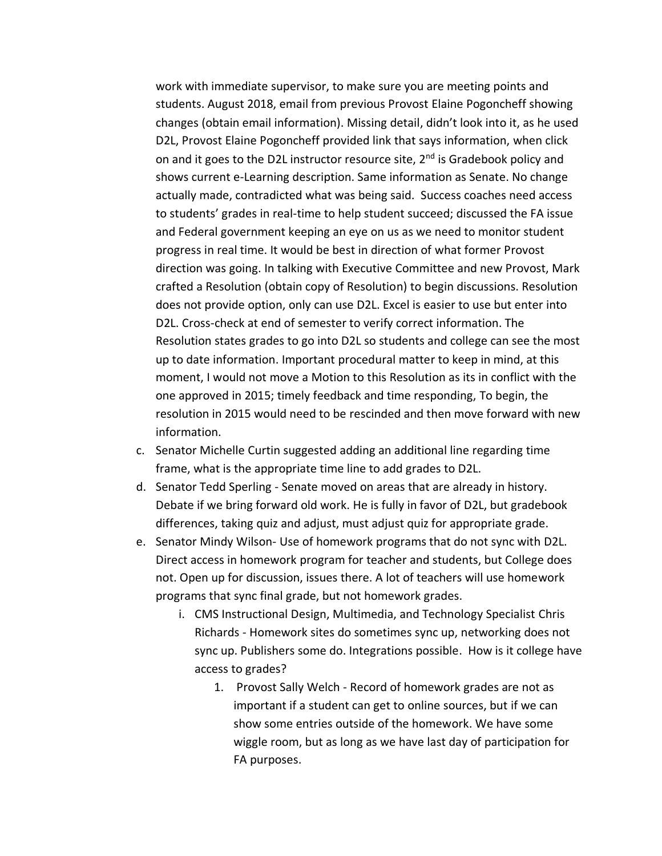work with immediate supervisor, to make sure you are meeting points and students. August 2018, email from previous Provost Elaine Pogoncheff showing changes (obtain email information). Missing detail, didn't look into it, as he used D2L, Provost Elaine Pogoncheff provided link that says information, when click on and it goes to the D2L instructor resource site,  $2<sup>nd</sup>$  is Gradebook policy and shows current e-Learning description. Same information as Senate. No change actually made, contradicted what was being said. Success coaches need access to students' grades in real-time to help student succeed; discussed the FA issue and Federal government keeping an eye on us as we need to monitor student progress in real time. It would be best in direction of what former Provost direction was going. In talking with Executive Committee and new Provost, Mark crafted a Resolution (obtain copy of Resolution) to begin discussions. Resolution does not provide option, only can use D2L. Excel is easier to use but enter into D2L. Cross-check at end of semester to verify correct information. The Resolution states grades to go into D2L so students and college can see the most up to date information. Important procedural matter to keep in mind, at this moment, I would not move a Motion to this Resolution as its in conflict with the one approved in 2015; timely feedback and time responding, To begin, the resolution in 2015 would need to be rescinded and then move forward with new information.

- c. Senator Michelle Curtin suggested adding an additional line regarding time frame, what is the appropriate time line to add grades to D2L.
- d. Senator Tedd Sperling Senate moved on areas that are already in history. Debate if we bring forward old work. He is fully in favor of D2L, but gradebook differences, taking quiz and adjust, must adjust quiz for appropriate grade.
- e. Senator Mindy Wilson- Use of homework programs that do not sync with D2L. Direct access in homework program for teacher and students, but College does not. Open up for discussion, issues there. A lot of teachers will use homework programs that sync final grade, but not homework grades.
	- i. CMS Instructional Design, Multimedia, and Technology Specialist Chris Richards - Homework sites do sometimes sync up, networking does not sync up. Publishers some do. Integrations possible. How is it college have access to grades?
		- 1. Provost Sally Welch Record of homework grades are not as important if a student can get to online sources, but if we can show some entries outside of the homework. We have some wiggle room, but as long as we have last day of participation for FA purposes.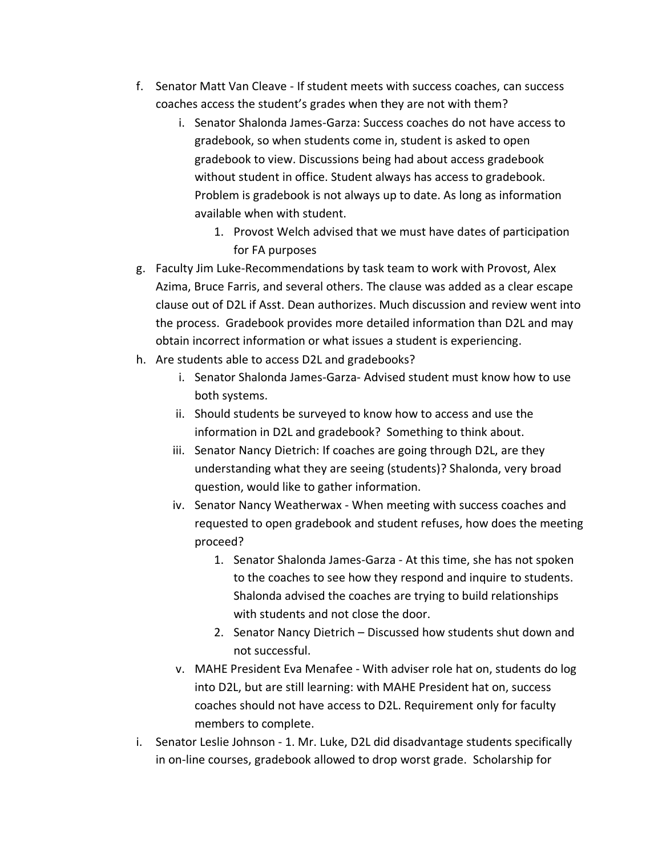- f. Senator Matt Van Cleave If student meets with success coaches, can success coaches access the student's grades when they are not with them?
	- i. Senator Shalonda James-Garza: Success coaches do not have access to gradebook, so when students come in, student is asked to open gradebook to view. Discussions being had about access gradebook without student in office. Student always has access to gradebook. Problem is gradebook is not always up to date. As long as information available when with student.
		- 1. Provost Welch advised that we must have dates of participation for FA purposes
- g. Faculty Jim Luke-Recommendations by task team to work with Provost, Alex Azima, Bruce Farris, and several others. The clause was added as a clear escape clause out of D2L if Asst. Dean authorizes. Much discussion and review went into the process. Gradebook provides more detailed information than D2L and may obtain incorrect information or what issues a student is experiencing.
- h. Are students able to access D2L and gradebooks?
	- i. Senator Shalonda James-Garza- Advised student must know how to use both systems.
	- ii. Should students be surveyed to know how to access and use the information in D2L and gradebook? Something to think about.
	- iii. Senator Nancy Dietrich: If coaches are going through D2L, are they understanding what they are seeing (students)? Shalonda, very broad question, would like to gather information.
	- iv. Senator Nancy Weatherwax When meeting with success coaches and requested to open gradebook and student refuses, how does the meeting proceed?
		- 1. Senator Shalonda James-Garza At this time, she has not spoken to the coaches to see how they respond and inquire to students. Shalonda advised the coaches are trying to build relationships with students and not close the door.
		- 2. Senator Nancy Dietrich Discussed how students shut down and not successful.
	- v. MAHE President Eva Menafee With adviser role hat on, students do log into D2L, but are still learning: with MAHE President hat on, success coaches should not have access to D2L. Requirement only for faculty members to complete.
- i. Senator Leslie Johnson 1. Mr. Luke, D2L did disadvantage students specifically in on-line courses, gradebook allowed to drop worst grade. Scholarship for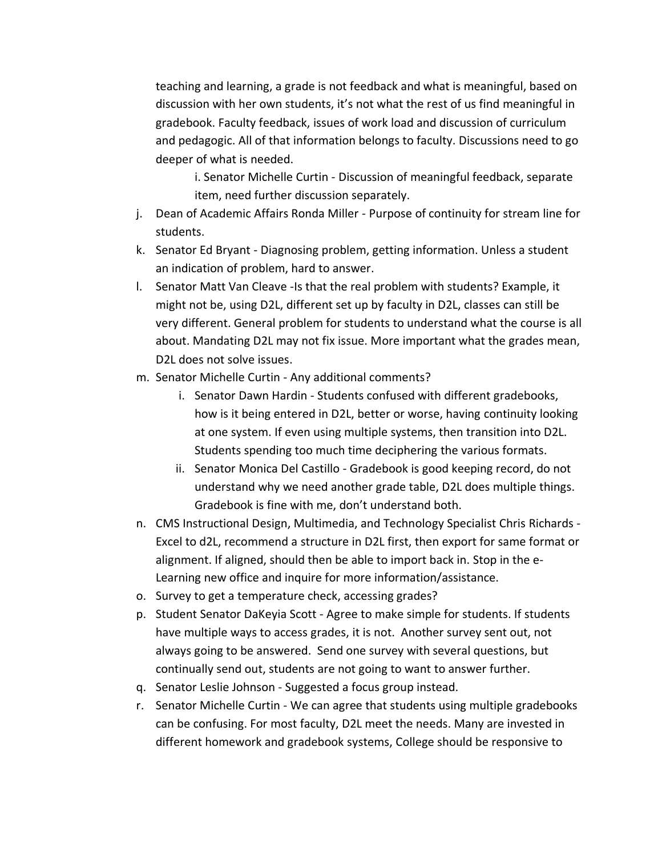teaching and learning, a grade is not feedback and what is meaningful, based on discussion with her own students, it's not what the rest of us find meaningful in gradebook. Faculty feedback, issues of work load and discussion of curriculum and pedagogic. All of that information belongs to faculty. Discussions need to go deeper of what is needed.

i. Senator Michelle Curtin - Discussion of meaningful feedback, separate item, need further discussion separately.

- j. Dean of Academic Affairs Ronda Miller Purpose of continuity for stream line for students.
- k. Senator Ed Bryant Diagnosing problem, getting information. Unless a student an indication of problem, hard to answer.
- l. Senator Matt Van Cleave -Is that the real problem with students? Example, it might not be, using D2L, different set up by faculty in D2L, classes can still be very different. General problem for students to understand what the course is all about. Mandating D2L may not fix issue. More important what the grades mean, D2L does not solve issues.
- m. Senator Michelle Curtin Any additional comments?
	- i. Senator Dawn Hardin Students confused with different gradebooks, how is it being entered in D2L, better or worse, having continuity looking at one system. If even using multiple systems, then transition into D2L. Students spending too much time deciphering the various formats.
	- ii. Senator Monica Del Castillo Gradebook is good keeping record, do not understand why we need another grade table, D2L does multiple things. Gradebook is fine with me, don't understand both.
- n. CMS Instructional Design, Multimedia, and Technology Specialist Chris Richards Excel to d2L, recommend a structure in D2L first, then export for same format or alignment. If aligned, should then be able to import back in. Stop in the e-Learning new office and inquire for more information/assistance.
- o. Survey to get a temperature check, accessing grades?
- p. Student Senator DaKeyia Scott Agree to make simple for students. If students have multiple ways to access grades, it is not. Another survey sent out, not always going to be answered. Send one survey with several questions, but continually send out, students are not going to want to answer further.
- q. Senator Leslie Johnson Suggested a focus group instead.
- r. Senator Michelle Curtin We can agree that students using multiple gradebooks can be confusing. For most faculty, D2L meet the needs. Many are invested in different homework and gradebook systems, College should be responsive to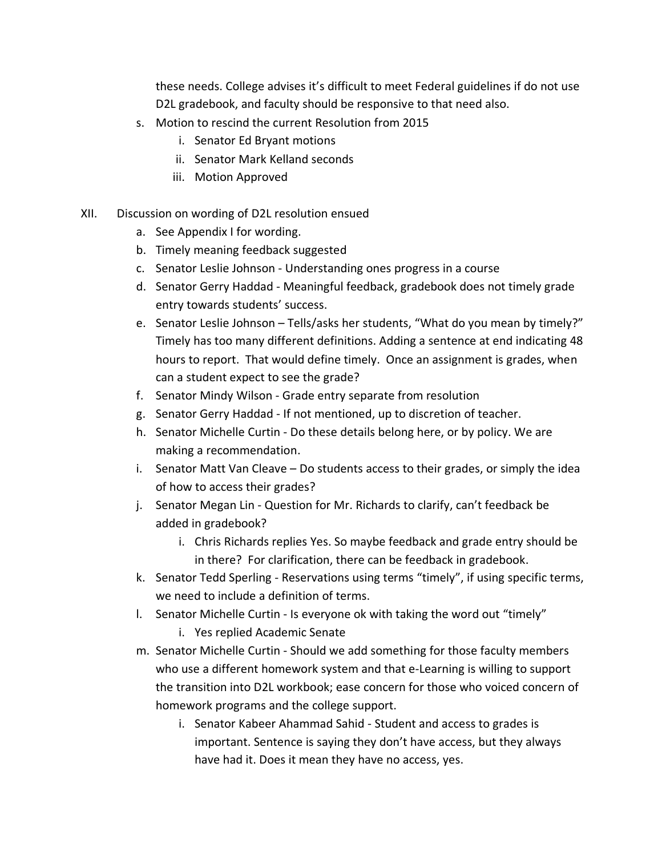these needs. College advises it's difficult to meet Federal guidelines if do not use D2L gradebook, and faculty should be responsive to that need also.

- s. Motion to rescind the current Resolution from 2015
	- i. Senator Ed Bryant motions
	- ii. Senator Mark Kelland seconds
	- iii. Motion Approved

#### XII. Discussion on wording of D2L resolution ensued

- a. See Appendix I for wording.
- b. Timely meaning feedback suggested
- c. Senator Leslie Johnson Understanding ones progress in a course
- d. Senator Gerry Haddad Meaningful feedback, gradebook does not timely grade entry towards students' success.
- e. Senator Leslie Johnson Tells/asks her students, "What do you mean by timely?" Timely has too many different definitions. Adding a sentence at end indicating 48 hours to report. That would define timely. Once an assignment is grades, when can a student expect to see the grade?
- f. Senator Mindy Wilson Grade entry separate from resolution
- g. Senator Gerry Haddad If not mentioned, up to discretion of teacher.
- h. Senator Michelle Curtin Do these details belong here, or by policy. We are making a recommendation.
- i. Senator Matt Van Cleave Do students access to their grades, or simply the idea of how to access their grades?
- j. Senator Megan Lin Question for Mr. Richards to clarify, can't feedback be added in gradebook?
	- i. Chris Richards replies Yes. So maybe feedback and grade entry should be in there? For clarification, there can be feedback in gradebook.
- k. Senator Tedd Sperling Reservations using terms "timely", if using specific terms, we need to include a definition of terms.
- l. Senator Michelle Curtin Is everyone ok with taking the word out "timely"
	- i. Yes replied Academic Senate
- m. Senator Michelle Curtin Should we add something for those faculty members who use a different homework system and that e-Learning is willing to support the transition into D2L workbook; ease concern for those who voiced concern of homework programs and the college support.
	- i. Senator Kabeer Ahammad Sahid Student and access to grades is important. Sentence is saying they don't have access, but they always have had it. Does it mean they have no access, yes.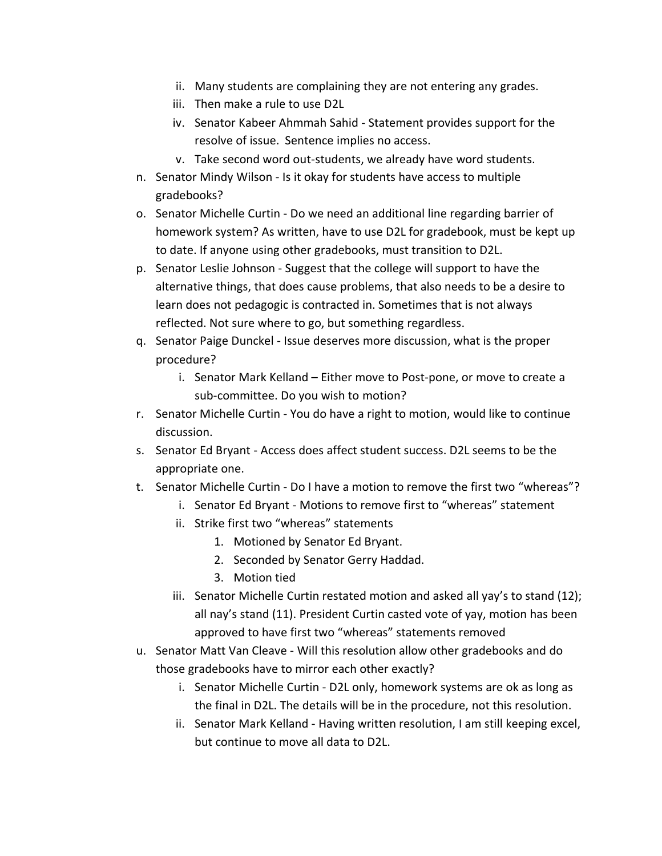- ii. Many students are complaining they are not entering any grades.
- iii. Then make a rule to use D2L
- iv. Senator Kabeer Ahmmah Sahid Statement provides support for the resolve of issue. Sentence implies no access.
- v. Take second word out-students, we already have word students.
- n. Senator Mindy Wilson Is it okay for students have access to multiple gradebooks?
- o. Senator Michelle Curtin Do we need an additional line regarding barrier of homework system? As written, have to use D2L for gradebook, must be kept up to date. If anyone using other gradebooks, must transition to D2L.
- p. Senator Leslie Johnson Suggest that the college will support to have the alternative things, that does cause problems, that also needs to be a desire to learn does not pedagogic is contracted in. Sometimes that is not always reflected. Not sure where to go, but something regardless.
- q. Senator Paige Dunckel Issue deserves more discussion, what is the proper procedure?
	- i. Senator Mark Kelland Either move to Post-pone, or move to create a sub-committee. Do you wish to motion?
- r. Senator Michelle Curtin You do have a right to motion, would like to continue discussion.
- s. Senator Ed Bryant Access does affect student success. D2L seems to be the appropriate one.
- t. Senator Michelle Curtin Do I have a motion to remove the first two "whereas"?
	- i. Senator Ed Bryant Motions to remove first to "whereas" statement
	- ii. Strike first two "whereas" statements
		- 1. Motioned by Senator Ed Bryant.
		- 2. Seconded by Senator Gerry Haddad.
		- 3. Motion tied
	- iii. Senator Michelle Curtin restated motion and asked all yay's to stand (12); all nay's stand (11). President Curtin casted vote of yay, motion has been approved to have first two "whereas" statements removed
- u. Senator Matt Van Cleave Will this resolution allow other gradebooks and do those gradebooks have to mirror each other exactly?
	- i. Senator Michelle Curtin D2L only, homework systems are ok as long as the final in D2L. The details will be in the procedure, not this resolution.
	- ii. Senator Mark Kelland Having written resolution, I am still keeping excel, but continue to move all data to D2L.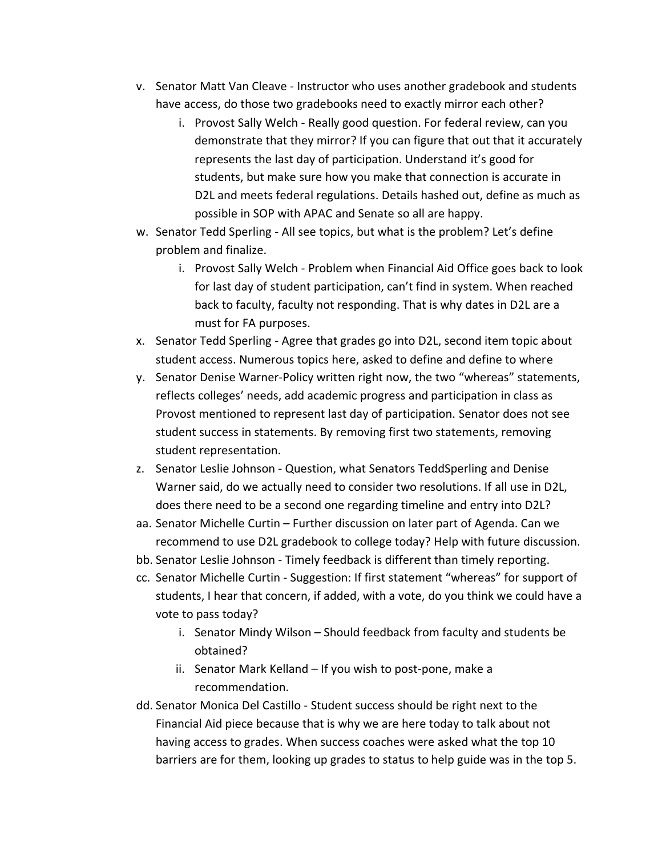- v. Senator Matt Van Cleave Instructor who uses another gradebook and students have access, do those two gradebooks need to exactly mirror each other?
	- i. Provost Sally Welch Really good question. For federal review, can you demonstrate that they mirror? If you can figure that out that it accurately represents the last day of participation. Understand it's good for students, but make sure how you make that connection is accurate in D2L and meets federal regulations. Details hashed out, define as much as possible in SOP with APAC and Senate so all are happy.
- w. Senator Tedd Sperling All see topics, but what is the problem? Let's define problem and finalize.
	- i. Provost Sally Welch Problem when Financial Aid Office goes back to look for last day of student participation, can't find in system. When reached back to faculty, faculty not responding. That is why dates in D2L are a must for FA purposes.
- x. Senator Tedd Sperling Agree that grades go into D2L, second item topic about student access. Numerous topics here, asked to define and define to where
- y. Senator Denise Warner-Policy written right now, the two "whereas" statements, reflects colleges' needs, add academic progress and participation in class as Provost mentioned to represent last day of participation. Senator does not see student success in statements. By removing first two statements, removing student representation.
- z. Senator Leslie Johnson Question, what Senators TeddSperling and Denise Warner said, do we actually need to consider two resolutions. If all use in D2L, does there need to be a second one regarding timeline and entry into D2L?
- aa. Senator Michelle Curtin Further discussion on later part of Agenda. Can we recommend to use D2L gradebook to college today? Help with future discussion.
- bb. Senator Leslie Johnson Timely feedback is different than timely reporting.
- cc. Senator Michelle Curtin Suggestion: If first statement "whereas" for support of students, I hear that concern, if added, with a vote, do you think we could have a vote to pass today?
	- i. Senator Mindy Wilson Should feedback from faculty and students be obtained?
	- ii. Senator Mark Kelland If you wish to post-pone, make a recommendation.
- dd. Senator Monica Del Castillo Student success should be right next to the Financial Aid piece because that is why we are here today to talk about not having access to grades. When success coaches were asked what the top 10 barriers are for them, looking up grades to status to help guide was in the top 5.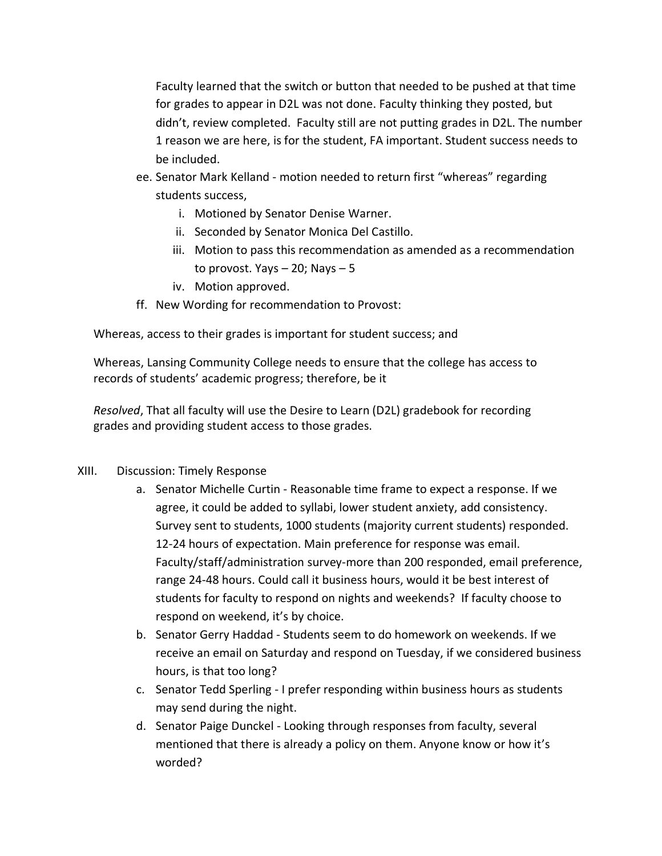Faculty learned that the switch or button that needed to be pushed at that time for grades to appear in D2L was not done. Faculty thinking they posted, but didn't, review completed. Faculty still are not putting grades in D2L. The number 1 reason we are here, is for the student, FA important. Student success needs to be included.

- ee. Senator Mark Kelland motion needed to return first "whereas" regarding students success,
	- i. Motioned by Senator Denise Warner.
	- ii. Seconded by Senator Monica Del Castillo.
	- iii. Motion to pass this recommendation as amended as a recommendation to provost. Yays  $-20$ ; Nays  $-5$
	- iv. Motion approved.
- ff. New Wording for recommendation to Provost:

Whereas, access to their grades is important for student success; and

Whereas, Lansing Community College needs to ensure that the college has access to records of students' academic progress; therefore, be it

*Resolved*, That all faculty will use the Desire to Learn (D2L) gradebook for recording grades and providing student access to those grades.

## XIII. Discussion: Timely Response

- a. Senator Michelle Curtin Reasonable time frame to expect a response. If we agree, it could be added to syllabi, lower student anxiety, add consistency. Survey sent to students, 1000 students (majority current students) responded. 12-24 hours of expectation. Main preference for response was email. Faculty/staff/administration survey-more than 200 responded, email preference, range 24-48 hours. Could call it business hours, would it be best interest of students for faculty to respond on nights and weekends? If faculty choose to respond on weekend, it's by choice.
- b. Senator Gerry Haddad Students seem to do homework on weekends. If we receive an email on Saturday and respond on Tuesday, if we considered business hours, is that too long?
- c. Senator Tedd Sperling I prefer responding within business hours as students may send during the night.
- d. Senator Paige Dunckel Looking through responses from faculty, several mentioned that there is already a policy on them. Anyone know or how it's worded?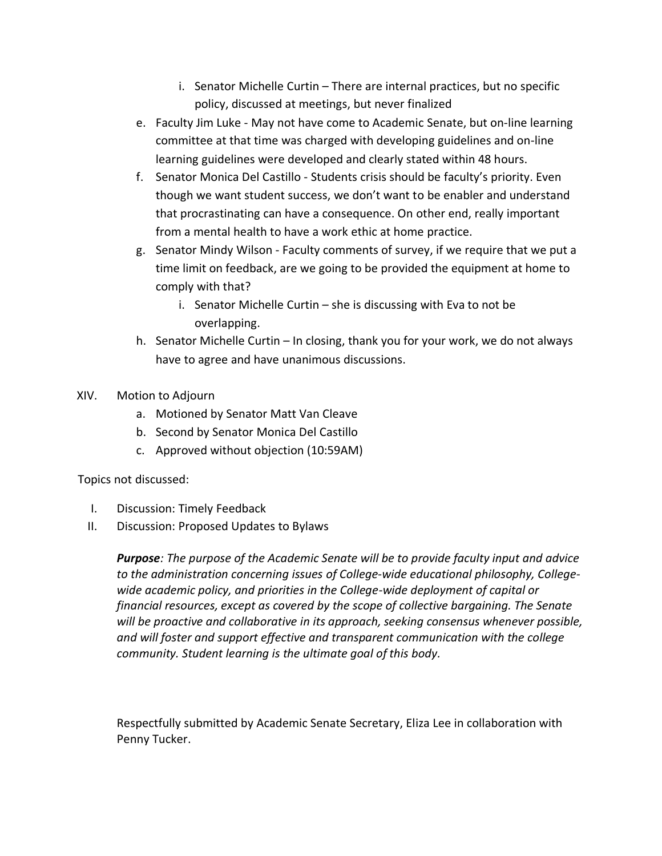- i. Senator Michelle Curtin There are internal practices, but no specific policy, discussed at meetings, but never finalized
- e. Faculty Jim Luke May not have come to Academic Senate, but on-line learning committee at that time was charged with developing guidelines and on-line learning guidelines were developed and clearly stated within 48 hours.
- f. Senator Monica Del Castillo Students crisis should be faculty's priority. Even though we want student success, we don't want to be enabler and understand that procrastinating can have a consequence. On other end, really important from a mental health to have a work ethic at home practice.
- g. Senator Mindy Wilson Faculty comments of survey, if we require that we put a time limit on feedback, are we going to be provided the equipment at home to comply with that?
	- i. Senator Michelle Curtin she is discussing with Eva to not be overlapping.
- h. Senator Michelle Curtin In closing, thank you for your work, we do not always have to agree and have unanimous discussions.
- XIV. Motion to Adjourn
	- a. Motioned by Senator Matt Van Cleave
	- b. Second by Senator Monica Del Castillo
	- c. Approved without objection (10:59AM)

Topics not discussed:

- I. Discussion: Timely Feedback
- II. Discussion: Proposed Updates to Bylaws

*Purpose: The purpose of the Academic Senate will be to provide faculty input and advice to the administration concerning issues of College-wide educational philosophy, Collegewide academic policy, and priorities in the College-wide deployment of capital or financial resources, except as covered by the scope of collective bargaining. The Senate will be proactive and collaborative in its approach, seeking consensus whenever possible, and will foster and support effective and transparent communication with the college community. Student learning is the ultimate goal of this body.*

Respectfully submitted by Academic Senate Secretary, Eliza Lee in collaboration with Penny Tucker.